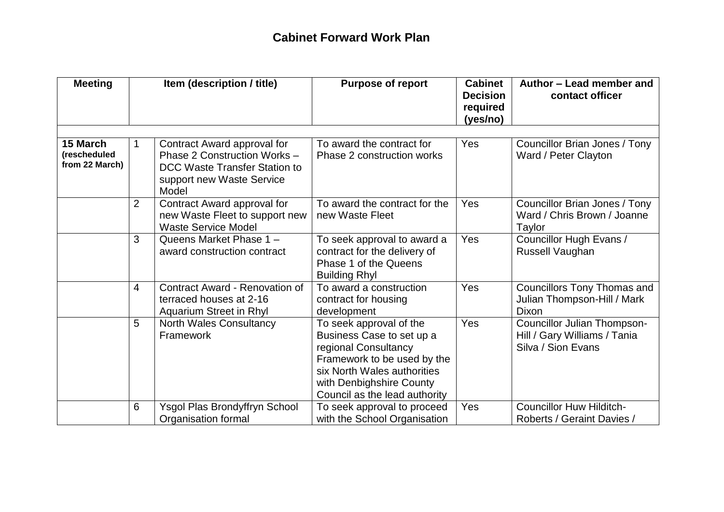## **Cabinet Forward Work Plan**

| <b>Meeting</b>                             | Item (description / title) |                                                                                                                                           | <b>Purpose of report</b>                                                                                                                                                                                | <b>Cabinet</b><br><b>Decision</b><br>required<br>(yes/no) | Author - Lead member and<br>contact officer                                              |  |
|--------------------------------------------|----------------------------|-------------------------------------------------------------------------------------------------------------------------------------------|---------------------------------------------------------------------------------------------------------------------------------------------------------------------------------------------------------|-----------------------------------------------------------|------------------------------------------------------------------------------------------|--|
| 15 March<br>(rescheduled<br>from 22 March) | 1                          | Contract Award approval for<br>Phase 2 Construction Works -<br><b>DCC Waste Transfer Station to</b><br>support new Waste Service<br>Model | To award the contract for<br>Phase 2 construction works                                                                                                                                                 | Yes                                                       | Councillor Brian Jones / Tony<br>Ward / Peter Clayton                                    |  |
|                                            | $\overline{2}$             | Contract Award approval for<br>new Waste Fleet to support new<br><b>Waste Service Model</b>                                               | To award the contract for the<br>new Waste Fleet                                                                                                                                                        | Yes                                                       | Councillor Brian Jones / Tony<br>Ward / Chris Brown / Joanne<br>Taylor                   |  |
|                                            | 3                          | Queens Market Phase 1 -<br>award construction contract                                                                                    | To seek approval to award a<br>contract for the delivery of<br>Phase 1 of the Queens<br><b>Building Rhyl</b>                                                                                            | Yes                                                       | Councillor Hugh Evans /<br>Russell Vaughan                                               |  |
|                                            | $\overline{4}$             | <b>Contract Award - Renovation of</b><br>terraced houses at 2-16<br>Aquarium Street in Rhyl                                               | To award a construction<br>contract for housing<br>development                                                                                                                                          | Yes                                                       | <b>Councillors Tony Thomas and</b><br>Julian Thompson-Hill / Mark<br><b>Dixon</b>        |  |
|                                            | 5                          | <b>North Wales Consultancy</b><br>Framework                                                                                               | To seek approval of the<br>Business Case to set up a<br>regional Consultancy<br>Framework to be used by the<br>six North Wales authorities<br>with Denbighshire County<br>Council as the lead authority | Yes                                                       | <b>Councillor Julian Thompson-</b><br>Hill / Gary Williams / Tania<br>Silva / Sion Evans |  |
|                                            | 6                          | <b>Ysgol Plas Brondyffryn School</b><br>Organisation formal                                                                               | To seek approval to proceed<br>with the School Organisation                                                                                                                                             | Yes                                                       | <b>Councillor Huw Hilditch-</b><br>Roberts / Geraint Davies /                            |  |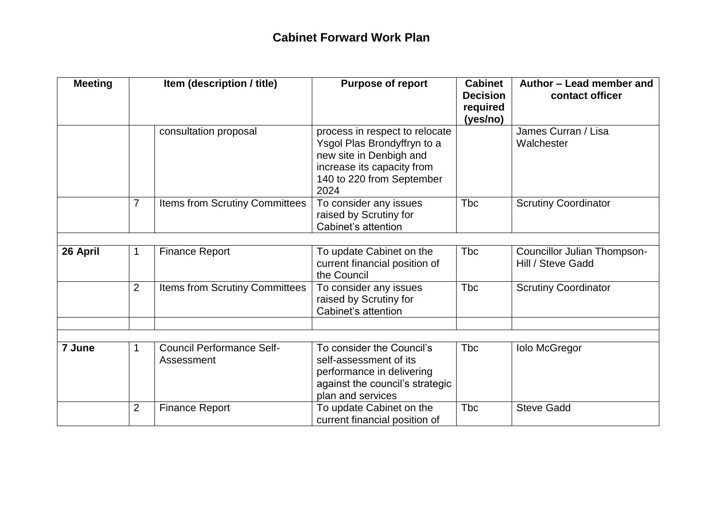| <b>Meeting</b> |                | Item (description / title)                     | <b>Purpose of report</b>                                                                                                                                    | <b>Cabinet</b><br><b>Decision</b><br>required<br>(yes/no) | Author - Lead member and<br>contact officer      |  |
|----------------|----------------|------------------------------------------------|-------------------------------------------------------------------------------------------------------------------------------------------------------------|-----------------------------------------------------------|--------------------------------------------------|--|
|                |                | consultation proposal                          | process in respect to relocate<br>Ysgol Plas Brondyffryn to a<br>new site in Denbigh and<br>increase its capacity from<br>140 to 220 from September<br>2024 |                                                           | James Curran / Lisa<br>Walchester                |  |
|                | $\overline{7}$ | Items from Scrutiny Committees                 | To consider any issues<br>raised by Scrutiny for<br>Cabinet's attention                                                                                     | <b>Tbc</b>                                                | <b>Scrutiny Coordinator</b>                      |  |
|                |                |                                                |                                                                                                                                                             |                                                           |                                                  |  |
| 26 April       | 1              | <b>Finance Report</b>                          | To update Cabinet on the<br>current financial position of<br>the Council                                                                                    | <b>Tbc</b>                                                | Councillor Julian Thompson-<br>Hill / Steve Gadd |  |
|                | $\overline{2}$ | Items from Scrutiny Committees                 | To consider any issues<br>raised by Scrutiny for<br>Cabinet's attention                                                                                     | <b>Tbc</b>                                                | <b>Scrutiny Coordinator</b>                      |  |
|                |                |                                                |                                                                                                                                                             |                                                           |                                                  |  |
| 7 June         | 1              | <b>Council Performance Self-</b><br>Assessment | To consider the Council's<br>self-assessment of its<br>performance in delivering<br>against the council's strategic<br>plan and services                    | <b>Tbc</b>                                                | <b>Iolo McGregor</b>                             |  |
|                | $\overline{2}$ | <b>Finance Report</b>                          | To update Cabinet on the<br>current financial position of                                                                                                   | <b>T</b> bc                                               | <b>Steve Gadd</b>                                |  |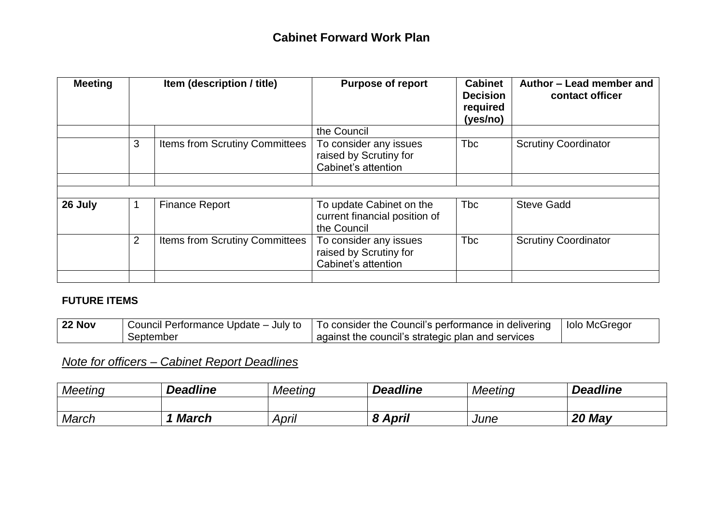| <b>Meeting</b> | Item (description / title) |                                | <b>Purpose of report</b>                                                 | <b>Cabinet</b><br><b>Decision</b><br>required<br>(yes/no) | Author - Lead member and<br>contact officer |
|----------------|----------------------------|--------------------------------|--------------------------------------------------------------------------|-----------------------------------------------------------|---------------------------------------------|
|                |                            |                                | the Council                                                              |                                                           |                                             |
|                | 3                          | Items from Scrutiny Committees | To consider any issues<br>raised by Scrutiny for<br>Cabinet's attention  | <b>Tbc</b>                                                | <b>Scrutiny Coordinator</b>                 |
|                |                            |                                |                                                                          |                                                           |                                             |
|                |                            |                                |                                                                          |                                                           |                                             |
| 26 July        |                            | <b>Finance Report</b>          | To update Cabinet on the<br>current financial position of<br>the Council | <b>Tbc</b>                                                | <b>Steve Gadd</b>                           |
|                | $\overline{2}$             | Items from Scrutiny Committees | To consider any issues<br>raised by Scrutiny for<br>Cabinet's attention  | <b>Tbc</b>                                                | <b>Scrutiny Coordinator</b>                 |
|                |                            |                                |                                                                          |                                                           |                                             |

## **FUTURE ITEMS**

| <b>22 Nov</b> | $\pm$ Council Performance Update – July to $\pm$ T | To consider the Council's performance in delivering | lolo McGregor |
|---------------|----------------------------------------------------|-----------------------------------------------------|---------------|
|               | September                                          | against the council's strategic plan and services   |               |

## *Note for officers – Cabinet Report Deadlines*

| <b>Meeting</b> | <b>Deadline</b> | <b>Meeting</b> | <b>Deadline</b>             | <b>Meeting</b> | <b>Deadline</b> |
|----------------|-----------------|----------------|-----------------------------|----------------|-----------------|
|                |                 |                |                             |                |                 |
| March          | <b>March</b>    | April          | <b>8 April</b><br>$\bullet$ | June           | 20 May          |